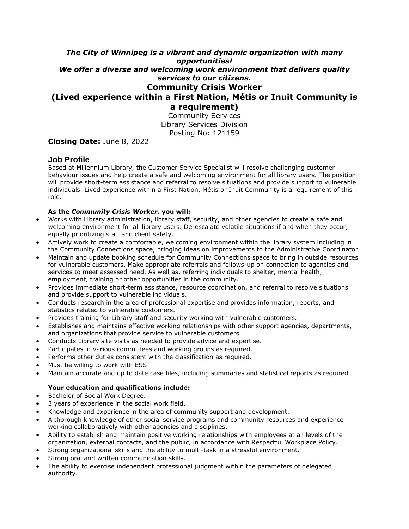# *The City of Winnipeg is a vibrant and dynamic organization with many opportunities! We offer a diverse and welcoming work environment that delivers quality services to our citizens.* **Community Crisis Worker (Lived experience within a First Nation, Métis or Inuit Community is a requirement)**

Community Services Library Services Division Posting No: 121159

**Closing Date:** June 8, 2022

## **Job Profile**

Based at Millennium Library, the Customer Service Specialist will resolve challenging customer behaviour issues and help create a safe and welcoming environment for all library users. The position will provide short-term assistance and referral to resolve situations and provide support to vulnerable individuals. Lived experience within a First Nation, Métis or Inuit Community is a requirement of this role.

#### **As the** *Community Crisis Worker***, you will:**

- Works with Library administration, library staff, security, and other agencies to create a safe and welcoming environment for all library users. De-escalate volatile situations if and when they occur, equally prioritizing staff and client safety.
- Actively work to create a comfortable, welcoming environment within the library system including in the Community Connections space, bringing ideas on improvements to the Administrative Coordinator.
- Maintain and update booking schedule for Community Connections space to bring in outside resources for vulnerable customers. Make appropriate referrals and follows-up on connection to agencies and services to meet assessed need. As well as, referring individuals to shelter, mental health, employment, training or other opportunities in the community.
- Provides immediate short-term assistance, resource coordination, and referral to resolve situations and provide support to vulnerable individuals.
- Conducts research in the area of professional expertise and provides information, reports, and statistics related to vulnerable customers.
- Provides training for Library staff and security working with vulnerable customers.
- Establishes and maintains effective working relationships with other support agencies, departments, and organizations that provide service to vulnerable customers.
- Conducts Library site visits as needed to provide advice and expertise.
- Participates in various committees and working groups as required.
- Performs other duties consistent with the classification as required.
- Must be willing to work with ESS
- Maintain accurate and up to date case files, including summaries and statistical reports as required.

#### **Your education and qualifications include:**

- Bachelor of Social Work Degree.
- 3 years of experience in the social work field.
- Knowledge and experience in the area of community support and development.
- A thorough knowledge of other social service programs and community resources and experience working collaboratively with other agencies and disciplines.
- Ability to establish and maintain positive working relationships with employees at all levels of the organization, external contacts, and the public, in accordance with Respectful Workplace Policy.
- Strong organizational skills and the ability to multi-task in a stressful environment.
- Strong oral and written communication skills.
- The ability to exercise independent professional judgment within the parameters of delegated authority.